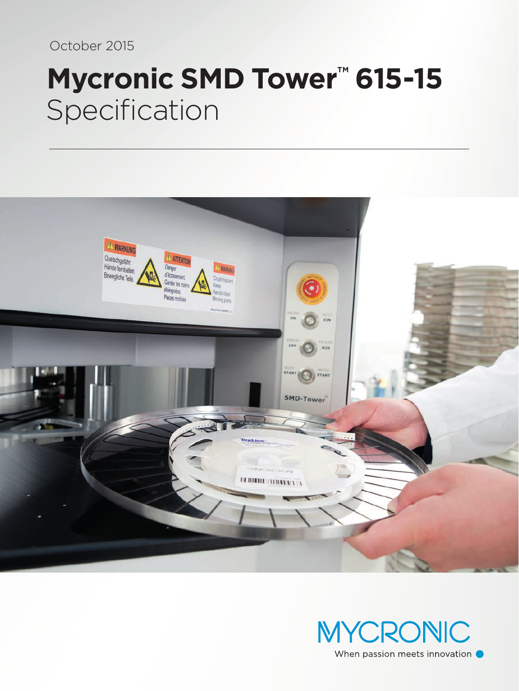October 2015

# **Mycronic SMD Tower™ 615-15** Specification



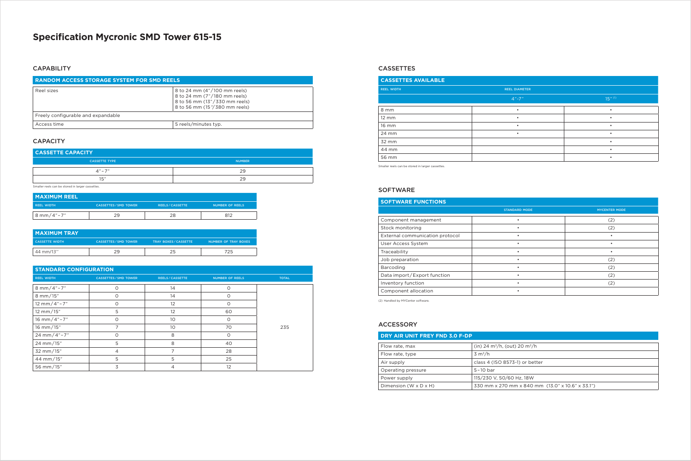## **Specification Mycronic SMD Tower 615-15**

#### **CAPABILITY**

#### **STANDARD CONFIGURATION**

| <b>SIANDARD CONFIGURATION</b> |                              |                       |                        |              |
|-------------------------------|------------------------------|-----------------------|------------------------|--------------|
| <b>REEL WIDTH</b>             | <b>CASSETTES / SMD TOWER</b> | <b>REELS/CASSETTE</b> | <b>NUMBER OF REELS</b> | <b>TOTAL</b> |
| 8 mm/4"-7"                    | $\Omega$                     | 14                    | $\Omega$               |              |
| 8 mm/15"                      | $\circ$                      | 14                    | O                      |              |
| 12 mm/4"-7"                   | $\Omega$                     | 12                    | O                      |              |
| 12 mm/15"                     | 5                            | 12                    | 60                     |              |
| 16 mm/4"-7"                   | $\Omega$                     | 10                    | O                      |              |
| 16 mm/15"                     | $\overline{ }$               | 10                    | 70                     | 235          |
| 24 mm/4"-7"                   | $\Omega$                     | 8                     | $\Omega$               |              |
| 24 mm/15"                     | 5                            | 8                     | 40                     |              |
| 32 mm/15"                     | $\overline{4}$               | 7                     | 28                     |              |
| 44 mm/15"                     | 5                            | 5                     | 25                     |              |
| 56 mm/15"                     | 3                            | 4                     | 12                     |              |

| <b>I MAXIMUM REEL</b>    |                              |                       |                        |
|--------------------------|------------------------------|-----------------------|------------------------|
| <b>REEL WIDTH</b>        | <b>CASSETTES / SMD TOWER</b> | <b>REELS/CASSETTE</b> | <b>NUMBER OF REELS</b> |
| $8 \text{ mm} / 4" - 7"$ | 29                           | າຂ                    |                        |

| <b>MAXIMUM TRAY</b>   |                              |                            |                             |
|-----------------------|------------------------------|----------------------------|-----------------------------|
| <b>CASSETTE WIDTH</b> | <b>CASSETTES / SMD TOWER</b> | <b>TRAY BOXES/CASSETTE</b> | <b>NUMBER OF TRAY BOXES</b> |
| 44 mm/13"             | 29                           |                            | 725                         |

| <b>CASSETTE CAPACITY</b> |               |  |
|--------------------------|---------------|--|
| <b>CASSETTE TYPE</b>     | <b>NUMBER</b> |  |
| $\Delta'' - 7''$         | 29            |  |
| 15''                     | 29            |  |

| <b>CASSETTES AVAILABLE</b> |                      |                       |
|----------------------------|----------------------|-----------------------|
| <b>REEL WIDTH</b>          | <b>REEL DIAMETER</b> |                       |
|                            | $4" - 7"$            | $15''$ <sup>(1)</sup> |
| 8 mm                       | ٠                    | ٠                     |
| $12 \, \text{mm}$          |                      |                       |
| 16 mm                      | $\bullet$            | $\bullet$             |
| 24 mm                      | ٠                    |                       |
| 32 mm                      |                      |                       |
| 44 mm                      |                      | ٠                     |
| 56 mm                      |                      |                       |

#### CASSETTES

| <b>RANDOM ACCESS STORAGE SYSTEM FOR SMD REELS</b> |                                                                                                                                  |  |
|---------------------------------------------------|----------------------------------------------------------------------------------------------------------------------------------|--|
| Reel sizes                                        | 8 to 24 mm (4"/100 mm reels)<br>8 to 24 mm (7"/180 mm reels)<br>8 to 56 mm (13"/330 mm reels)<br>8 to 56 mm (15 "/ 380 mm reels) |  |
| Freely configurable and expandable                |                                                                                                                                  |  |
| Access time                                       | 5 reels/minutes typ.                                                                                                             |  |

#### **CAPACITY**

| DRY AIR UNIT FREY FND 3.0 F-DP      |                                                       |  |
|-------------------------------------|-------------------------------------------------------|--|
| Flow rate, max                      | (in) 24 m <sup>3</sup> /h, (out) 20 m <sup>3</sup> /h |  |
| Flow rate, type                     | $3 \text{ m}^3/h$                                     |  |
| Air supply                          | class 4 (ISO 8573-1) or better                        |  |
| Operating pressure                  | $5-10$ bar                                            |  |
| Power supply                        | 115/230 V, 50/60 Hz, 18W                              |  |
| Dimension (W $\times$ D $\times$ H) | 330 mm x 270 mm x 840 mm (13.0" x 10.6" x 33.1")      |  |

#### ACCESSORY

| <b>SOFTWARE FUNCTIONS</b>       |                      |                      |
|---------------------------------|----------------------|----------------------|
|                                 | <b>STANDARD MODE</b> | <b>MYCENTER MODE</b> |
| Component management            |                      | (2)                  |
| Stock monitoring                |                      | (2)                  |
| External communication protocol |                      |                      |
| User Access System              |                      |                      |
| Traceability                    |                      |                      |
| Job preparation                 |                      | (2)                  |
| Barcoding                       |                      | (2)                  |
| Data import/Export function     |                      | (2)                  |
| Inventory function              |                      | (2)                  |
| Component allocation            |                      |                      |

(2) Handled by MYCenter software.

Smaller reels can be stored in larger cassettes.

### SOFTWARE

Smaller reels can be stored in larger cassettes.